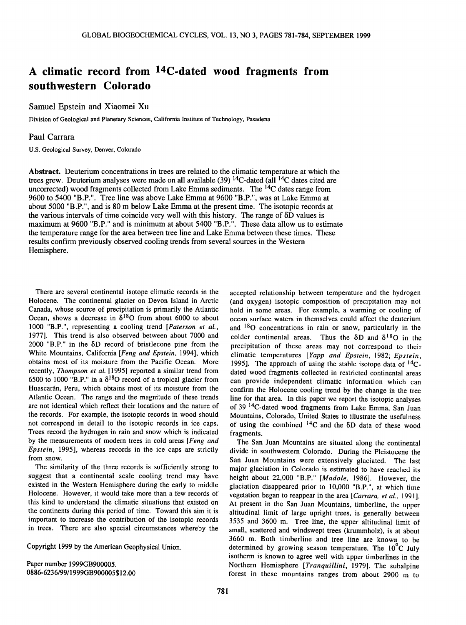## **A climatic record from 14C-dated wood fragments from southwestern Colorado**

## **Samuel Epstein and Xiaomei Xu**

**Division of Geological and Planetary Sciences, California Institute of Technology, Pasadena** 

## **Paul Carrara**

**U.S. Geological Survey, Denver, Colorado** 

**Abstract. Deuterium concentrations in trees are related to the climatic temperature at which the trees grew. Deuterium analyses were made on all available (39) 14C-dated (all 14C dates cited are**  uncorrected) wood fragments collected from Lake Emma sediments. The <sup>14</sup>C dates range from **9600 to 5400 "B.P.". Tree line was above Lake Emma at 9600 "B.P.", was at Lake Emma at about 5000 "B.P.", and is 80 m below Lake Emma at the present time. The isotopic records at**  the various intervals of time coincide very well with this history. The range of  $\delta D$  values is **maximum at 9600 "B.P." and is minimum at about 5400 "B.P.". These data allow us to estimate the temperature range for the area between tree line and Lake Emma between these times. These results confirm previously observed cooling trends from several sources in the Western Hemisphere.** 

**There are several continental isotope climatic records in the Holocene. The continental glacier on Devon Island in Arctic Canada, whose source of precipitation is primarily the Atlantic**  Ocean, shows a decrease in  $\delta^{18}$ O from about 6000 to about **1000 "B.P.", representing a cooling trend [Paterson et al., 1977]. This trend is also observed between about 7000 and**  2000 "B.P." in the δD record of bristlecone pine from the **White Mountains, California [Feng and Epstein, 1994], which obtains most of its moisture from the Pacific Ocean. More recently, Thompson et al. [1995] reported a similar trend from**  6500 to 1000 "B.P." in a  $\delta^{18}$ O record of a tropical glacier from Huascarán, Peru, which obtains most of its moisture from the **Atlantic Ocean. The range and the magnitude of these trends are not identical which reflect their locations and the nature of the records. For example, the isotopic records in wood should not correspond in detail to the isotopic records in ice caps. Trees record the hydrogen in rain and snow which is indicated by the measurements of modern trees in cold areas [Feng and Epstein, 1995], whereas records in the ice caps are strictly from snow.** 

**The similarity of the three records is sufficiently strong to suggest that a continental scale cooling trend may have existed in the Western Hemisphere during the early to middle Holocene. However, it would take more than a few records of this kind to understand the climatic situations that existed on the continents during this period of time. Toward this aim it is important to increase the contribution of the isotopic records in trees. There are also special circumstances whereby the** 

**Copyright 1999 by the American Geophysical Union.** 

**Paper number 1999GB900005. 0886-6236/99/1999GB900005512.00**  **accepted relationship between temperature and the hydrogen (and oxygen) isotopic composition of precipitation may not hold in some areas. For example, a warming or cooling of ocean surface waters in themselves could affect the deuterium and 180 concentrations in rain or snow, particularly in the**  colder continental areas. Thus the  $\delta D$  and  $\delta^{18}O$  in the **precipitation of these areas may not correspond to their climatic temperatures [Yapp and Epstein, 1982; Epstein, 1995]. The approach of using the stable isotope data of 14Cdated wood fragments collected in restricted continental areas can provide independent climatic information which can confirm the Holocene cooling trend by the change in the tree**  line for that area. In this paper we report the isotopic analyses **of 39 14C-dated wood fragments from Lake Emma, San Juan Mountains, Colorado, United States to illustrate the usefulness**  of using the combined  $^{14}$ C and the  $\delta$ D data of these wood **fragments.** 

**The San Juan Mountains are situated along the continental divide in southwestern Colorado. During the Pleistocene the San Juan Mountains were extensively glaciated. The last major glaciation in Colorado is estimated to have reached its height about 22,000 "B.P." [Madole, 1986]. However, the glaciation disappeared prior to 10,000 "B.P.", at which time**  vegetation began to reappear in the area [Carrara, et al., 1991]. **At present in the San Juan Mountains, timberline, the upper altitudinal limit of large upright trees, is generally between 3535 and 3600 m. Tree line, the upper altitudinal limit of small, scattered and windswept trees (krummholz), is at about 3660 m. Both timberline and tree line are known to be**  determined by growing season temperature. The 10°C July **isotherm is known to agree well with upper timberlines in the Northern Hemisphere [Tranquillini, 1979]. The subalpine forest in these mountains ranges from about 2900 m to**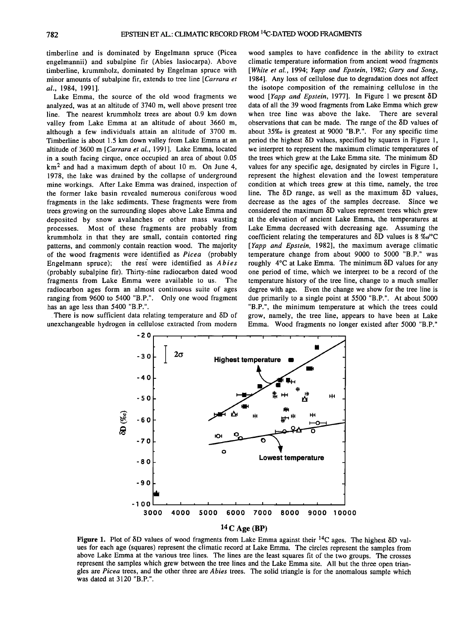**timberline and is dominated by Engelmann spruce (Picea engelmannii) and subalpine fir (Abies lasiocarpa). Above timberline, krummholz, dominated by Engelman spruce with minor amounts of subalpine fir, extends to tree line [Carrara et al., 1984, 1991].** 

**Lake Emma, the source of the old wood fragments we**  analyzed, was at an altitude of 3740 m, well above present tree **line. The nearest krummholz trees are about 0.9 km down valley from Lake Emma at an altitude of about 3660 m, although a few individuals attain an altitude of 3700 m. Timberline is about 1.5 km down valley from Lake Emma at an altitude of 3600 m [Carrara et al., 1991]. Lake Emma, located in a south facing cirque, once occupied an area of about 0.05 km 2 and had a maximum depth of about 10 m. On June 4, 1978, the lake was drained by the collapse of underground mine workings. After Lake Emma was drained, inspection of the former lake basin revealed numerous coniferous wood fragments in the lake sediments. These fragments were from trees growing on the surrounding slopes above Lake Emma and deposited by snow avalanches or other mass wasting processes. Most of these fragments are probably from krummholz in that they are small, contain contorted ring patterns, and commonly contain reaction wood. The majority of the wood fragments were identified as Picea (probably**  Engelmann spruce); the rest were identified as *Abies* **(probably subalpine fir). Thirty-nine radiocarbon dated wood fragments from Lake Emma were available to us. The radiocarbon ages form an almost continuous suite of ages ranging from 9600 to 5400 "B.P.". Only one wood fragment has an age less than 5400 "B.P.".** 

There is now sufficient data relating temperature and  $\delta$ D of **unexchangeable hydrogen in cellulose extracted from modern** 

**wood samples to have confidence in the ability to extract climatic temperature information from ancient wood fragments [White et al., 1994; Yapp and Epstein, 1982; Gary and Song, 1984]. Any loss of cellulose due to degradation does not affect the isotope composition of the remaining cellulose in the**  wood [Yapp and Epstein, 1977]. In Figure 1 we present δD **data of all the 39 wood fragments from Lake Emma which grew when tree line was above the lake. There are several observations that can be made. The range of the**  $\delta$ **D values of about 35%0 is greatest at 9000 "B.P.". For any specific time period the highest/SD values, specified by squares in Figure 1,**  we interpret to represent the maximum climatic temperatures of the trees which grew at the Lake Emma site. The minimum δD **values for any specific age, designated by circles in Figure 1, represent the highest elevation and the lowest temperature condition at which trees grew at this time, namely, the tree**  line. The δD range, as well as the maximum δD values, **decrease as the ages of the samples decrease. Since we**  considered the maximum  $\delta$ D values represent trees which grew **at the elevation of ancient Lake Emma, the temperatures at Lake Emma decreased with decreasing age. Assuming the coefficient relating the temperatures and δD values is 8 %d°C [Yapp and Epstein, 1982], the maximum average climatic temperature change from about 9000 to 5000 "B.P." was roughly 4øC at Lake Emma. The minimum/SD values for any one period of time, which we interpret to be a record of the temperature history of the tree line, change to a much smaller degree with age. Even the change we show for the tree line is due primarily to a single point at 5500 "B.P.". At about 5000 "B.P.", the minimum temperature at which the trees could grow, namely, the tree line, appears to have been at Lake Emma. Wood fragments no longer existed after 5000 "B.P."** 



**Figure 1.** Plot of  $\delta$ D values of wood fragments from Lake Emma against their <sup>14</sup>C ages. The highest  $\delta$ D val**ues for each age (squares) represent the climatic record at Lake Emma. The circles represent the samples from above Lake Emma at the various tree lines. The lines are the least squares fit of the two groups. The crosses represent the samples which grew between the tree lines and the Lake Emma site. All but the three open triangles are Picea trees, and the other three are Abies trees. The solid triangle is for the anomalous sample which was dated at 3120 "B.P.".**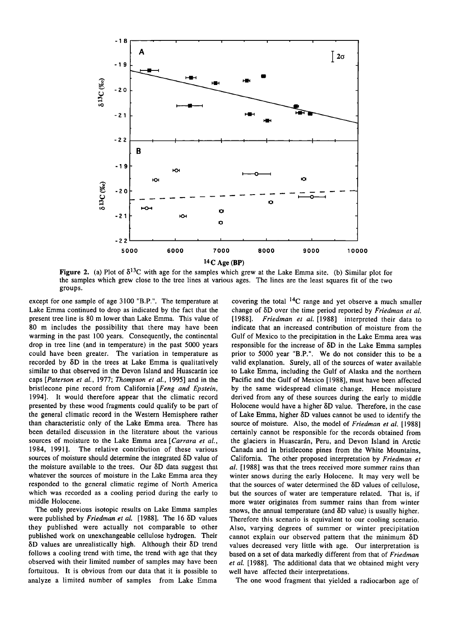

**Figure 2.** (a) Plot of  $\delta^{13}C$  with age for the samples which grew at the Lake Emma site. (b) Similar plot for **the samples which grew close to the tree lines at various ages. The lines are the least squares fit of the two groups.** 

**except for one sample of age 3100 "B.P.". The temperature at Lake Emma continued to drop as indicated by the fact that the present tree line is 80 m lower than Lake Emma. This value of 80 m includes the possibility that there may have been warming in the past 100 years. Consequently, the continental drop in tree line (and in temperature) in the past 5000 years could have been greater. The variation in temperature as**  recorded by  $\delta D$  in the trees at Lake Emma is qualitatively similar to that observed in the Devon Island and Huascarán ice **caps [Paterson et al., 1977; Thompson et al., 1995] and in the bristlecone pine record from California [Feng and Epstein, 1994]. It would therefore appear that the climatic record presented by these wood fragments could qualify to be part of the general climatic record in the Western Hemisphere rather than characteristic only of the Lake Emma area. There has been detailed discussion in the literature about the various sources of moisture to the Lake Emma area [Carrara et al., 1984, 1991]. The relative contribution of these various**  sources of moisture should determine the integrated  $\delta D$  value of the moisture available to the trees. Our  $\delta$ D data suggest that **whatever the sources of moisture in the Lake Emma area they responded to the general climatic regime of North America which was recorded as a cooling period during the early to middle Holocene.** 

**The only previous isotopic results on Lake Emma samples**  were published by Friedman et al. [1988]. The 16  $\delta$ D values **they published were actually not comparable to other published work on unexchangeable cellulose hydrogen. Their δD** values are unrealistically high. Although their δD trend **follows a cooling trend with time, the trend with age that they observed with their limited number of samples may have been fortuitous. It is obvious from our data that it is possible to analyze a limited number of samples from Lake Emma** 

covering the total <sup>14</sup>C range and yet observe a much smaller **change of**  $\delta D$  **over the time period reported by Friedman et al. [1988] interpreted their data to [1988]. Friedman et al. [1988] interpreted their data to indicate that an increased contribution of moisture from the Gulf of Mexico to the precipitation in the Lake Emma area was**  responsible for the increase of  $\delta D$  in the Lake Emma samples **prior to 5000 year "B.P.". We do not consider this to be a valid explanation. Surely, all of the sources of water available to Lake Emma, including the Gulf of Alaska and the northern Pacific and the Gulf of Mexico [1988], must have been affected by the same widespread climate change. Hence moisture derived from any of these sources during the early to middle**  Holocene would have a higher  $\delta$ D value. Therefore, in the case of Lake Emma, higher  $\delta$ D values cannot be used to identify the **source of moisture. Also, the model of Friedman et al. [1988] certainly cannot be responsible for the records obtained from**  the glaciers in Huascarán, Peru, and Devon Island in Arctic **Canada and in bristlecone pines from the White Mountains, California. The other proposed interpretation by Friedman et al. [1988] was that the trees received more summer rains than winter snows during the early Holocene. It may very well be**  that the sources of water determined the  $\delta$ D values of cellulose, **but the sources of water are temperature related. That is, if more water originates from summer rains than from winter**  snows, the annual temperature (and  $\delta$ D value) is usually higher. **Therefore this scenario is equivalent to our cooling scenario. Also, varying degrees of summer or winter precipitation**  cannot explain our observed pattern that the minimum  $\delta D$ **values decreased very little with age. Our interpretation is based on a set of data markedly different from that of Friedman et al. [1988]. The additional data that we obtained might very well have affected their interpretations.** 

**The one wood fragment that yielded a radiocarbon age of**